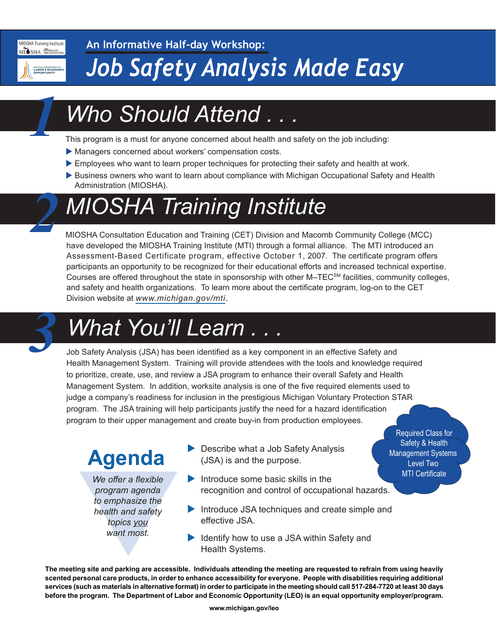

MI SHA OMARC MICHIGAN DEPARTME<br>LABOR & ECOI

MIOSHA Training Institute

*1*

*2*

# *Job Safety Analysis Made Easy*

## *Who Should Attend . . .*

This program is a must for anyone concerned about health and safety on the job including:

- Managers concerned about workers' compensation costs.
- Employees who want to learn proper techniques for protecting their safety and health at work.
- Business owners who want to learn about compliance with Michigan Occupational Safety and Health Administration (MIOSHA).

## *MIOSHA Training Institute*

MIOSHA Consultation Education and Training (CET) Division and Macomb Community College (MCC) have developed the MIOSHA Training Institute (MTI) through a formal alliance. The MTI introduced an Assessment-Based Certificate program, effective October 1, 2007. The certificate program offers participants an opportunity to be recognized for their educational efforts and increased technical expertise. Courses are offered throughout the state in sponsorship with other M–TEC<sup>SM</sup> facilities, community colleges, and safety and health organizations. To learn more about the certificate program, log-on to the CET Division website at *[www.michigan.gov/mti](http://www.michigan.gov/mti)*.

## *What You'll Learn .*

Job Safety Analysis (JSA) has been identified as a key component in an effective Safety and Health Management System. Training will provide attendees with the tools and knowledge required to prioritize, create, use, and review a JSA program to enhance their overall Safety and Health Management System. In addition, worksite analysis is one of the five required elements used to judge a company's readiness for inclusion in the prestigious Michigan Voluntary Protection STAR program. The JSA training will help participants justify the need for a hazard identification program to their upper management and create buy-in from production employees.

### **Agenda**

We offer a flexible<br>program agenda<br>to emphasize the<br>health and safety<br>topics you<br>want most.<br>ting site and parking are accessible<br>personal care products in order to *We offer a flexible program agenda to emphasize the health and safety topics you want most.*

 $\blacktriangleright$  Describe what a Job Safety Analysis (JSA) is and the purpose.

Required Class for Safety & Health Management Systems Level Two **MTI Certificate** 

- $\blacktriangleright$  Introduce some basic skills in the recognition and control of occupational hazards.
- $\blacktriangleright$  Introduce JSA techniques and create simple and effective JSA.
- $\blacktriangleright$  Identify how to use a JSA within Safety and Health Systems.

**The meeting site and parking are accessible. Individuals attending the meeting are requested to refrain from using heavily scented personal care products, in order to enhance accessibility for everyone. People with disabilities requiring additional services (such as materials in alternative format) in order to participate in the meeting should call 517-284-7720 at least 30 days before the program. The Department of Labor and Economic Opportunity (LEO) is an equal opportunity employer/program.**